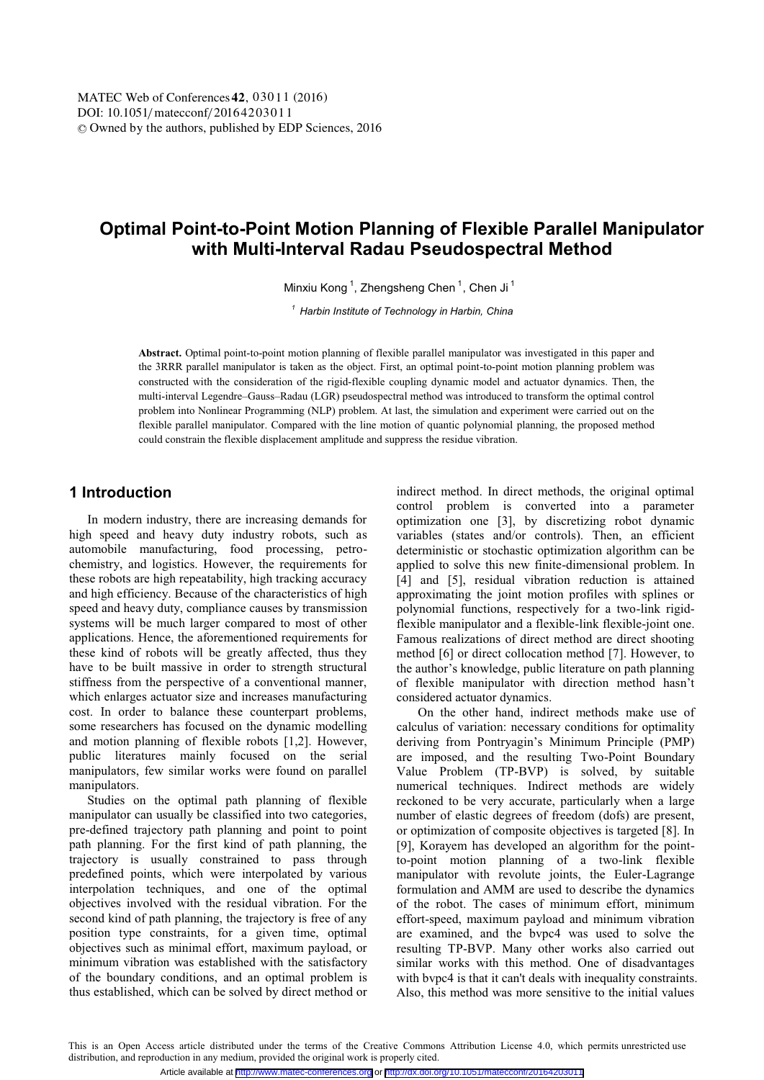# **Optimal Point-to-Point Motion Planning of Flexible Parallel Manipulator with Multi-Interval Radau Pseudospectral Method**

Minxiu Kong<sup>1</sup>, Zhengsheng Chen<sup>1</sup>, Chen Ji<sup>1</sup>

*<sup>1</sup> Harbin Institute of Technology in Harbin, China* 

**Abstract.** Optimal point-to-point motion planning of flexible parallel manipulator was investigated in this paper and the 3RRR parallel manipulator is taken as the object. First, an optimal point-to-point motion planning problem was constructed with the consideration of the rigid-flexible coupling dynamic model and actuator dynamics. Then, the multi-interval Legendre–Gauss–Radau (LGR) pseudospectral method was introduced to transform the optimal control problem into Nonlinear Programming (NLP) problem. At last, the simulation and experiment were carried out on the flexible parallel manipulator. Compared with the line motion of quantic polynomial planning, the proposed method could constrain the flexible displacement amplitude and suppress the residue vibration.

# **1 Introduction**

In modern industry, there are increasing demands for high speed and heavy duty industry robots, such as automobile manufacturing, food processing, petrochemistry, and logistics. However, the requirements for these robots are high repeatability, high tracking accuracy and high efficiency. Because of the characteristics of high speed and heavy duty, compliance causes by transmission systems will be much larger compared to most of other applications. Hence, the aforementioned requirements for these kind of robots will be greatly affected, thus they have to be built massive in order to strength structural stiffness from the perspective of a conventional manner, which enlarges actuator size and increases manufacturing cost. In order to balance these counterpart problems, some researchers has focused on the dynamic modelling and motion planning of flexible robots [1,2]. However, public literatures mainly focused on the serial manipulators, few similar works were found on parallel manipulators.

Studies on the optimal path planning of flexible manipulator can usually be classified into two categories, pre-defined trajectory path planning and point to point path planning. For the first kind of path planning, the trajectory is usually constrained to pass through predefined points, which were interpolated by various interpolation techniques, and one of the optimal objectives involved with the residual vibration. For the second kind of path planning, the trajectory is free of any position type constraints, for a given time, optimal objectives such as minimal effort, maximum payload, or minimum vibration was established with the satisfactory of the boundary conditions, and an optimal problem is thus established, which can be solved by direct method or

indirect method. In direct methods, the original optimal control problem is converted into a parameter optimization one [3], by discretizing robot dynamic variables (states and/or controls). Then, an efficient deterministic or stochastic optimization algorithm can be applied to solve this new finite-dimensional problem. In [4] and [5], residual vibration reduction is attained approximating the joint motion profiles with splines or polynomial functions, respectively for a two-link rigidflexible manipulator and a flexible-link flexible-joint one. Famous realizations of direct method are direct shooting method [6] or direct collocation method [7]. However, to the author's knowledge, public literature on path planning of flexible manipulator with direction method hasn't considered actuator dynamics.

 On the other hand, indirect methods make use of calculus of variation: necessary conditions for optimality deriving from Pontryagin's Minimum Principle (PMP) are imposed, and the resulting Two-Point Boundary Value Problem (TP-BVP) is solved, by suitable numerical techniques. Indirect methods are widely reckoned to be very accurate, particularly when a large number of elastic degrees of freedom (dofs) are present, or optimization of composite objectives is targeted [8]. In [9], Korayem has developed an algorithm for the pointto-point motion planning of a two-link flexible manipulator with revolute joints, the Euler-Lagrange formulation and AMM are used to describe the dynamics of the robot. The cases of minimum effort, minimum effort-speed, maximum payload and minimum vibration are examined, and the bvpc4 was used to solve the resulting TP-BVP. Many other works also carried out similar works with this method. One of disadvantages with bvpc4 is that it can't deals with inequality constraints. Also, this method was more sensitive to the initial values

This is an Open Access article distributed under the terms of the Creative Commons Attribution License 4.0, which permits unrestricted use distribution, and reproduction in any medium, provided the original work is properly cited.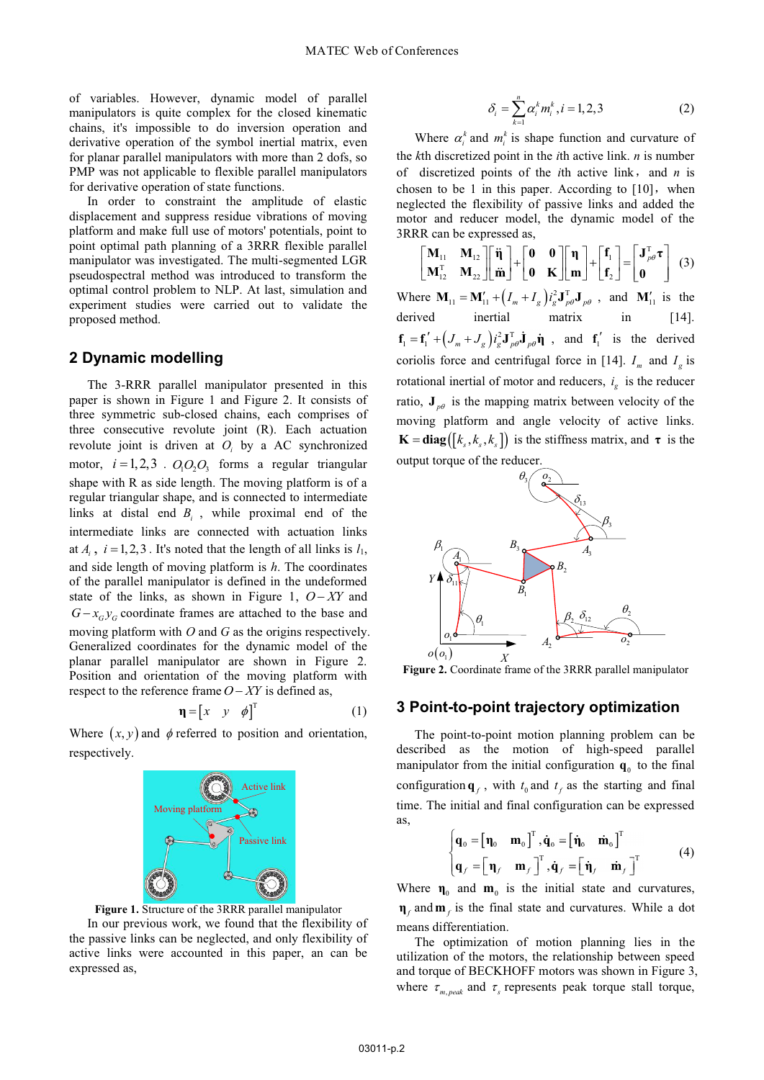of variables. However, dynamic model of parallel manipulators is quite complex for the closed kinematic chains, it's impossible to do inversion operation and derivative operation of the symbol inertial matrix, even for planar parallel manipulators with more than 2 dofs, so PMP was not applicable to flexible parallel manipulators for derivative operation of state functions.

In order to constraint the amplitude of elastic displacement and suppress residue vibrations of moving platform and make full use of motors' potentials, point to point optimal path planning of a 3RRR flexible parallel manipulator was investigated. The multi-segmented LGR pseudospectral method was introduced to transform the optimal control problem to NLP. At last, simulation and experiment studies were carried out to validate the proposed method.

### **2 Dynamic modelling**

The 3-RRR parallel manipulator presented in this paper is shown in Figure 1 and Figure 2. It consists of three symmetric sub-closed chains, each comprises of three consecutive revolute joint (R). Each actuation revolute joint is driven at *Oi* by a AC synchronized motor,  $i = 1, 2, 3$ .  $O_1O_2O_3$  forms a regular triangular shape with R as side length. The moving platform is of a regular triangular shape, and is connected to intermediate links at distal end *Bi* , while proximal end of the intermediate links are connected with actuation links at  $A_i$ ,  $i = 1, 2, 3$ . It's noted that the length of all links is  $I_1$ , and side length of moving platform is *h*. The coordinates of the parallel manipulator is defined in the undeformed state of the links, as shown in Figure 1,  $O - XY$  and  $G - x_G y_G$  coordinate frames are attached to the base and moving platform with *O* and *G* as the origins respectively. Generalized coordinates for the dynamic model of the planar parallel manipulator are shown in Figure 2. Position and orientation of the moving platform with respect to the reference frame  $O - XY$  is defined as,

$$
\mathbf{\eta} = \begin{bmatrix} x & y & \phi \end{bmatrix}^{\mathrm{T}} \tag{1}
$$

Where  $(x, y)$  and  $\phi$  referred to position and orientation, respectively.



**Figure 1.** Structure of the 3RRR parallel manipulator

In our previous work, we found that the flexibility of the passive links can be neglected, and only flexibility of active links were accounted in this paper, an can be expressed as,

$$
\delta_i = \sum_{k=1}^n \alpha_i^k m_i^k, i = 1, 2, 3
$$
 (2)

Where  $\alpha_i^k$  and  $m_i^k$  is shape function and curvature of the *k*th discretized point in the *i*th active link. *n* is number of discretized points of the *i*th active link, and *n* is chosen to be 1 in this paper. According to  $[10]$ , when neglected the flexibility of passive links and added the motor and reducer model, the dynamic model of the 3RRR can be expressed as,

$$
\begin{bmatrix} \mathbf{M}_{11} & \mathbf{M}_{12} \\ \mathbf{M}_{12}^{\mathrm{T}} & \mathbf{M}_{22} \end{bmatrix} \begin{bmatrix} \ddot{\mathbf{\eta}} \\ \ddot{\mathbf{m}} \end{bmatrix} + \begin{bmatrix} \mathbf{0} & \mathbf{0} \\ \mathbf{0} & \mathbf{K} \end{bmatrix} \begin{bmatrix} \mathbf{\eta} \\ \mathbf{m} \end{bmatrix} + \begin{bmatrix} \mathbf{f}_1 \\ \mathbf{f}_2 \end{bmatrix} = \begin{bmatrix} \mathbf{J}_{p\theta}^{\mathrm{T}} \\ \mathbf{0} \end{bmatrix}
$$
 (3)

Where  $\mathbf{M}_{11} = \mathbf{M}_{11} + \left( I_m + I_g \right) i_g^2 \mathbf{J}_{p\theta}^T \mathbf{J}_{p\theta}$ , and  $\mathbf{M}_{11}$  is the derived inertial matrix in [14].  $f_1 = f_1' + (\mathcal{J}_m + \mathcal{J}_g) i_g^2 J_{\rho\theta}^T \dot{\mathbf{J}}_{\rho\theta} \dot{\mathbf{\eta}}$ , and  $f_1'$  is the derived coriolis force and centrifugal force in [14].  $I_m$  and  $I_c$  is rotational inertial of motor and reducers,  $i_g$  is the reducer ratio,  $\mathbf{J}_{p\theta}$  is the mapping matrix between velocity of the moving platform and angle velocity of active links.  $\mathbf{K} = \text{diag}([k_s, k_s, k_s])$  is the stiffness matrix, and  $\tau$  is the output torque of the reducer.



**Figure 2.** Coordinate frame of the 3RRR parallel manipulator

## **3 Point-to-point trajectory optimization**

The point-to-point motion planning problem can be described as the motion of high-speed parallel manipulator from the initial configuration  $q_0$  to the final configuration  $\mathbf{q}_f$ , with  $t_0$  and  $t_f$  as the starting and final time. The initial and final configuration can be expressed as,

$$
\begin{cases}\n\mathbf{q}_0 = \begin{bmatrix}\n\mathbf{n}_0 & \mathbf{m}_0\n\end{bmatrix}^T, \dot{\mathbf{q}}_0 = \begin{bmatrix}\n\dot{\mathbf{n}}_0 & \dot{\mathbf{m}}_0\n\end{bmatrix}^T \\
\mathbf{q}_f = \begin{bmatrix}\n\mathbf{n}_f & \mathbf{m}_f\n\end{bmatrix}^T, \dot{\mathbf{q}}_f = \begin{bmatrix}\n\dot{\mathbf{n}}_f & \dot{\mathbf{m}}_f\n\end{bmatrix}^T\n\end{cases} (4)
$$

Where  $\eta_0$  and  $\mathbf{m}_0$  is the initial state and curvatures,  $\mathbf{\eta}_f$  and  $\mathbf{m}_f$  is the final state and curvatures. While a dot means differentiation.

The optimization of motion planning lies in the utilization of the motors, the relationship between speed and torque of BECKHOFF motors was shown in Figure 3, where  $\tau_{m,peak}$  and  $\tau_s$  represents peak torque stall torque,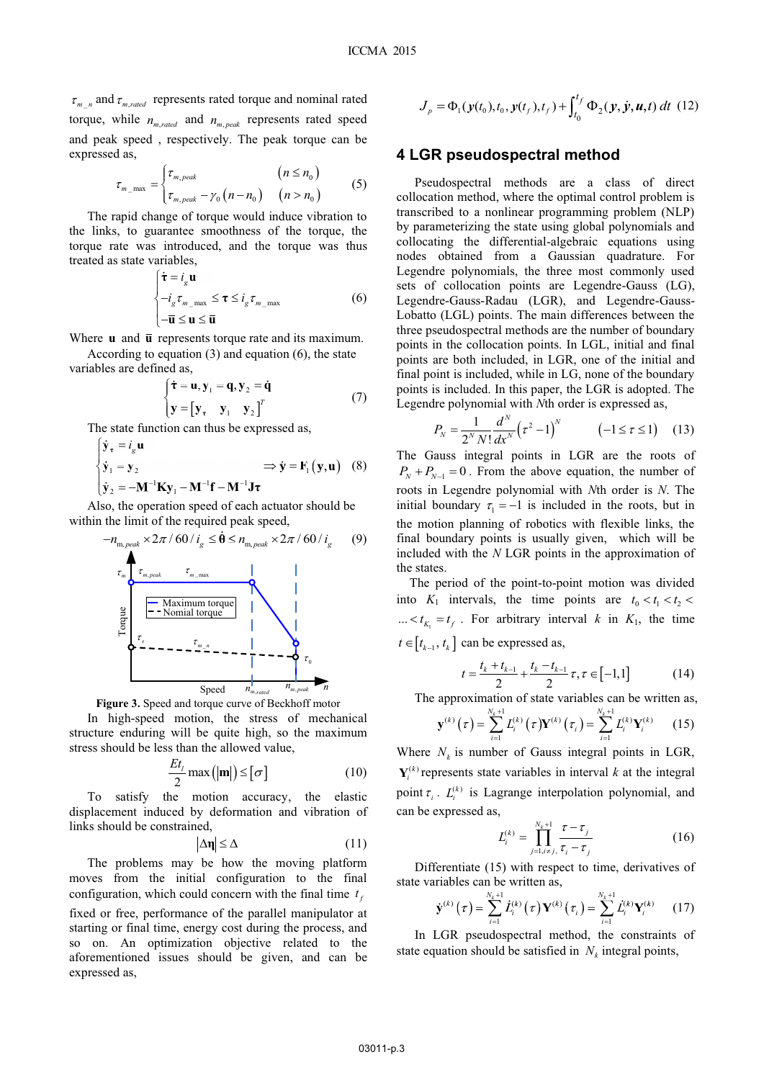$\tau_{m}$  and  $\tau_{m,raded}$  represents rated torque and nominal rated torque, while  $n_{\text{m rated}}$  and  $n_{\text{m needs}}$  represents rated speed and peak speed , respectively. The peak torque can be expressed as,

$$
\tau_{m_{\text{max}}} = \begin{cases} \tau_{m,peak} & (n \le n_0) \\ \tau_{m,peak} - \gamma_0 (n - n_0) & (n > n_0) \end{cases}
$$
(5)

The rapid change of torque would induce vibration to the links, to guarantee smoothness of the torque, the torque rate was introduced, and the torque was thus treated as state variables,

$$
\begin{cases} \dot{\boldsymbol{\tau}} = i_g \mathbf{u} \\ -i_g \tau_{m_{\text{max}}} \leq \boldsymbol{\tau} \leq i_g \tau_{m_{\text{max}}} \\ -\overline{\mathbf{u}} \leq \mathbf{u} \leq \overline{\mathbf{u}} \end{cases}
$$
(6)

Where **u** and **u** represents torque rate and its maximum.

According to equation (3) and equation (6), the state variables are defined as,

$$
\begin{cases} \dot{\boldsymbol{\tau}} = \mathbf{u}, \mathbf{y}_1 = \mathbf{q}, \mathbf{y}_2 = \dot{\mathbf{q}} \\ \mathbf{y} = \begin{bmatrix} \mathbf{y}_\tau & \mathbf{y}_1 & \mathbf{y}_2 \end{bmatrix}^T \end{cases}
$$
(7)

The state function can thus be expressed as,  $\sim$ 

$$
\begin{cases}\n\dot{\mathbf{y}}_{\tau} = i_g \mathbf{u} \\
\dot{\mathbf{y}}_1 = \mathbf{y}_2\n\end{cases} \Rightarrow \dot{\mathbf{y}} = \mathbf{F}_1(\mathbf{y}, \mathbf{u}) \quad (8)
$$
\n
$$
\dot{\mathbf{y}}_2 = -\mathbf{M}^{-1} \mathbf{K} \mathbf{y}_1 - \mathbf{M}^{-1} \mathbf{f} - \mathbf{M}^{-1} \mathbf{J} \tau
$$

Also, the operation speed of each actuator should be within the limit of the required peak speed,

$$
-n_{\text{m, peak}} \times 2\pi / 60 / i_{g} \leq \dot{\theta} \leq n_{\text{m, peak}} \times 2\pi / 60 / i_{g} \qquad (9)
$$
\n
$$
\downarrow
$$
\n
$$
\downarrow
$$
\n
$$
\downarrow
$$
\n
$$
\downarrow
$$
\n
$$
\downarrow
$$
\n
$$
\downarrow
$$
\n
$$
\downarrow
$$
\n
$$
\downarrow
$$
\n
$$
\downarrow
$$
\n
$$
\downarrow
$$
\n
$$
\downarrow
$$
\n
$$
\downarrow
$$
\n
$$
\downarrow
$$
\n
$$
\downarrow
$$
\n
$$
\downarrow
$$
\n
$$
\downarrow
$$
\n
$$
\downarrow
$$
\n
$$
\downarrow
$$
\n
$$
\downarrow
$$
\n
$$
\downarrow
$$
\n
$$
\downarrow
$$
\n
$$
\downarrow
$$
\n
$$
\downarrow
$$
\n
$$
\downarrow
$$
\n
$$
\downarrow
$$
\n
$$
\downarrow
$$
\n
$$
\downarrow
$$
\n
$$
\downarrow
$$
\n
$$
\downarrow
$$
\n
$$
\downarrow
$$
\n
$$
\downarrow
$$
\n
$$
\downarrow
$$
\n
$$
\downarrow
$$
\n
$$
\downarrow
$$
\n
$$
\downarrow
$$
\n
$$
\downarrow
$$
\n
$$
\downarrow
$$
\n
$$
\downarrow
$$
\n
$$
\downarrow
$$
\n
$$
\downarrow
$$
\n
$$
\downarrow
$$
\n
$$
\downarrow
$$
\n
$$
\downarrow
$$
\n
$$
\downarrow
$$
\n
$$
\downarrow
$$
\n
$$
\downarrow
$$
\n
$$
\downarrow
$$
\n
$$
\downarrow
$$
\n
$$
\downarrow
$$
\n
$$
\downarrow
$$
\n
$$
\downarrow
$$
\n
$$
\downarrow
$$
\n
$$
\downarrow
$$
\n
$$
\downarrow
$$
\n
$$
\downarrow
$$
\n
$$
\downarrow
$$
\n
$$
\downarrow
$$
\n
$$
\
$$



In high-speed motion, the stress of mechanical structure enduring will be quite high, so the maximum stress should be less than the allowed value,

$$
\frac{Et_{l}}{2}\max(|\mathbf{m}|)\leq[\sigma]
$$
 (10)

To satisfy the motion accuracy, the elastic displacement induced by deformation and vibration of links should be constrained,

$$
|\Delta \mathbf{\eta}| \le \Delta \tag{11}
$$

The problems may be how the moving platform moves from the initial configuration to the final configuration, which could concern with the final time  $t_f$ fixed or free, performance of the parallel manipulator at starting or final time, energy cost during the process, and so on. An optimization objective related to the aforementioned issues should be given, and can be expressed as,

$$
J_p = \Phi_1(\mathbf{y}(t_0), t_0, \mathbf{y}(t_f), t_f) + \int_{t_0}^{t_f} \Phi_2(\mathbf{y}, \dot{\mathbf{y}}, \mathbf{u}, t) dt
$$
 (12)

#### **4 LGR pseudospectral method**

Pseudospectral methods are a class of direct collocation method, where the optimal control problem is transcribed to a nonlinear programming problem (NLP) by parameterizing the state using global polynomials and collocating the differential-algebraic equations using nodes obtained from a Gaussian quadrature. For Legendre polynomials, the three most commonly used sets of collocation points are Legendre-Gauss (LG), Legendre-Gauss-Radau (LGR), and Legendre-Gauss-Lobatto (LGL) points. The main differences between the three pseudospectral methods are the number of boundary points in the collocation points. In LGL, initial and final points are both included, in LGR, one of the initial and final point is included, while in LG, none of the boundary points is included. In this paper, the LGR is adopted. The Legendre polynomial with *N*th order is expressed as,

$$
P_N = \frac{1}{2^N N!} \frac{d^N}{dx^N} \left( \tau^2 - 1 \right)^N \qquad \quad \left( -1 \le \tau \le 1 \right) \quad (13)
$$

The Gauss integral points in LGR are the roots of  $P_N + P_{N-1} = 0$ . From the above equation, the number of roots in Legendre polynomial with *N*th order is *N*. The initial boundary  $\tau_1 = -1$  is included in the roots, but in the motion planning of robotics with flexible links, the final boundary points is usually given, which will be included with the *N* LGR points in the approximation of the states.

The period of the point-to-point motion was divided into  $K_1$  intervals, the time points are  $t_0 < t_1 < t_2 <$ ...  $lt k_{K_1} = t_f$ . For arbitrary interval *k* in  $K_1$ , the time  $t \in [t_{k-1}, t_k]$  can be expressed as,

$$
t = \frac{t_k + t_{k-1}}{2} + \frac{t_k - t_{k-1}}{2} \tau, \tau \in [-1, 1]
$$
 (14)

The approximation of state variables can be written as,

$$
\mathbf{y}^{(k)}(\tau) = \sum_{i=1}^{N_k+1} L_i^{(k)}(\tau) \mathbf{Y}^{(k)}(\tau_i) = \sum_{i=1}^{N_k+1} L_i^{(k)} \mathbf{Y}_i^{(k)} \qquad (15)
$$

Where  $N_k$  is number of Gauss integral points in LGR,  $Y_i^{(k)}$  represents state variables in interval k at the integral point  $\tau_i$ .  $L_i^{(k)}$  is Lagrange interpolation polynomial, and can be expressed as,

$$
L_i^{(k)} = \prod_{j=1, i \neq j, \tau_i - \tau_j}^{N_k + 1} \tau - \tau_j \tag{16}
$$

Differentiate (15) with respect to time, derivatives of state variables can be written as,

$$
\dot{\mathbf{y}}^{(k)}(\tau) = \sum_{i=1}^{N_k+1} \dot{L}_i^{(k)}(\tau) \mathbf{Y}^{(k)}(\tau_i) = \sum_{i=1}^{N_k+1} \dot{L}_i^{(k)} \mathbf{Y}_i^{(k)} \qquad (17)
$$

In LGR pseudospectral method, the constraints of state equation should be satisfied in  $N_k$  integral points,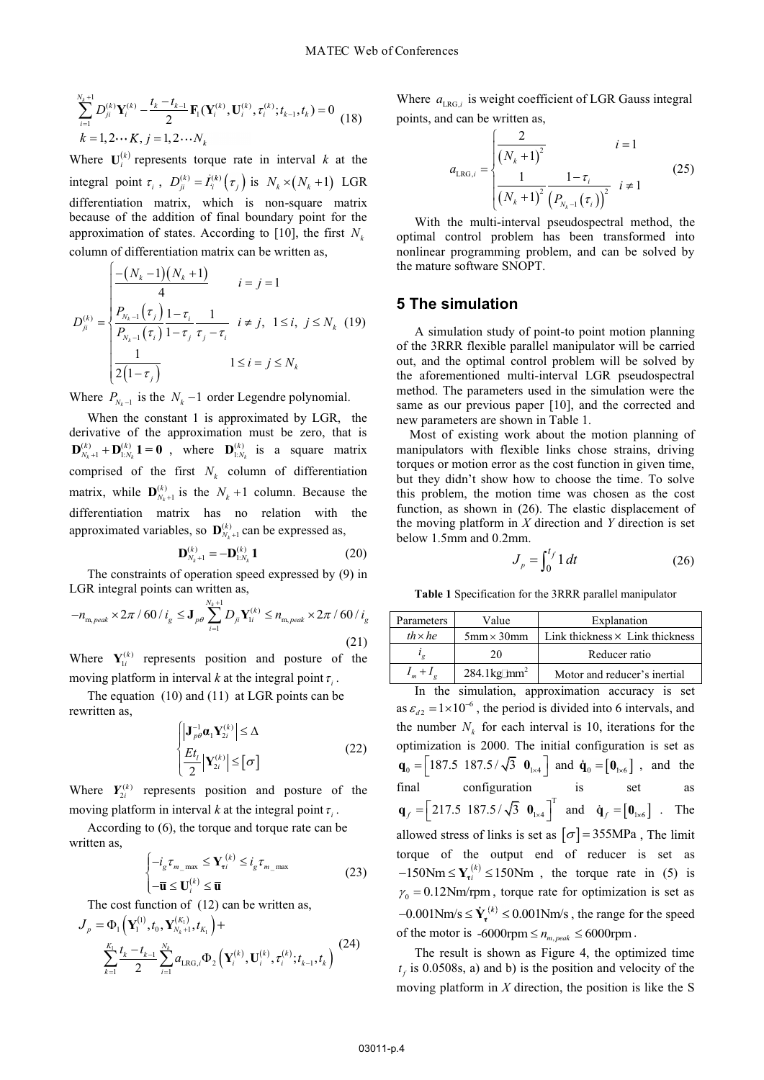$$
\sum_{i=1}^{N_k+1} D_{ji}^{(k)} \mathbf{Y}_i^{(k)} - \frac{t_k - t_{k-1}}{2} \mathbf{F}_1(\mathbf{Y}_i^{(k)}, \mathbf{U}_i^{(k)}, \tau_i^{(k)}; t_{k-1}, t_k) = 0
$$
\n
$$
k = 1, 2 \cdots K, j = 1, 2 \cdots N_k
$$
\n(18)

Where  $U_i^{(k)}$  represents torque rate in interval k at the integral point  $\tau_i$ ,  $D_{ji}^{(k)} = L_i^{(k)}(\tau_j)$  is  $N_k \times (N_k + 1)$  LGR differentiation matrix, which is non-square matrix because of the addition of final boundary point for the approximation of states. According to [10], the first  $N_k$ column of differentiation matrix can be written as,

$$
D_{ji}^{(k)} = \begin{cases} \frac{-(N_k - 1)(N_k + 1)}{4} & i = j = 1\\ \frac{P_{N_k - 1}(\tau_j)}{P_{N_k - 1}(\tau_i)} \frac{1 - \tau_i}{1 - \tau_j} \frac{1}{\tau_j - \tau_i} & i \neq j, \ 1 \leq i, \ j \leq N_k \ (19) \\ \frac{1}{2(1 - \tau_j)} & 1 \leq i = j \leq N_k \end{cases}
$$

Where  $P_{N_{k-1}}$  is the  $N_{k}$  –1 order Legendre polynomial.

When the constant 1 is approximated by LGR, the derivative of the approximation must be zero, that is  $\mathbf{D}_{N_k+1}^{(k)} + \mathbf{D}_{1:N_k}^{(k)} \mathbf{1} = \mathbf{0}$ , where  $\mathbf{D}_{1:N_k}^{(k)}$  is a square matrix comprised of the first  $N_k$  column of differentiation matrix, while  $\mathbf{D}_{N_k+1}^{(k)}$  is the  $N_k+1$  column. Because the differentiation matrix has no relation with the approximated variables, so  $\mathbf{D}_{N_k+1}^{(k)}$  can be expressed as,

$$
\mathbf{D}_{N_k+1}^{(k)} = -\mathbf{D}_{1:N_k}^{(k)} \mathbf{1}
$$
 (20)

The constraints of operation speed expressed by (9) in LGR integral points can written as,

$$
-n_{\text{m},peak} \times 2\pi / 60 / i_g \le \mathbf{J}_{p\theta} \sum_{i=1}^{N_k+1} D_{ji} \mathbf{Y}_{1i}^{(k)} \le n_{\text{m},peak} \times 2\pi / 60 / i_g
$$
\n(21)

Where  $Y_{1i}^{(k)}$  represents position and posture of the moving platform in interval *k* at the integral point  $\tau_i$ .

The equation (10) and (11) at LGR points can be rewritten as,

$$
\begin{cases}\n\left|\mathbf{J}_{p\theta}^{-1}\mathbf{\alpha}_{1}\mathbf{Y}_{2i}^{(k)}\right| \leq \Delta \\
\frac{Et_{l}}{2}\left|\mathbf{Y}_{2i}^{(k)}\right| \leq \left[\sigma\right]\n\end{cases}
$$
\n(22)

Where  $Y_{2i}^{(k)}$  represents position and posture of the moving platform in interval *k* at the integral point  $\tau_i$ .

According to (6), the torque and torque rate can be written as,

$$
\begin{cases}\n-i_g \tau_{m_{\text{max}}} \leq \mathbf{Y}_{\tau i}^{(k)} \leq i_g \tau_{m_{\text{max}}} \\
-\overline{\mathbf{u}} \leq \mathbf{U}_i^{(k)} \leq \overline{\mathbf{u}}\n\end{cases} \tag{23}
$$

The cost function of (12) can be written as,

$$
J_{p} = \Phi_{1}\left(\mathbf{Y}_{1}^{(1)}, t_{0}, \mathbf{Y}_{N_{k}+1}^{(K_{1})}, t_{K_{1}}\right) + \sum_{k=1}^{K_{1}} \frac{t_{k} - t_{k-1}}{2} \sum_{i=1}^{N_{k}} a_{LRG,i} \Phi_{2}\left(\mathbf{Y}_{i}^{(k)}, \mathbf{U}_{i}^{(k)}, \tau_{i}^{(k)}; t_{k-1}, t_{k}\right)
$$
(24)

Where  $a_{LRG,i}$  is weight coefficient of LGR Gauss integral points, and can be written as,

$$
a_{LRG,i} = \begin{cases} \frac{2}{(N_k + 1)^2} & i = 1\\ \frac{1}{(N_k + 1)^2} \frac{1 - \tau_i}{(P_{N_k - 1}(\tau_i))^2} & i \neq 1 \end{cases}
$$
(25)

With the multi-interval pseudospectral method, the optimal control problem has been transformed into nonlinear programming problem, and can be solved by the mature software SNOPT.

### **5 The simulation**

A simulation study of point-to point motion planning of the 3RRR flexible parallel manipulator will be carried out, and the optimal control problem will be solved by the aforementioned multi-interval LGR pseudospectral method. The parameters used in the simulation were the same as our previous paper [10], and the corrected and new parameters are shown in Table 1.

Most of existing work about the motion planning of manipulators with flexible links chose strains, driving torques or motion error as the cost function in given time, but they didn't show how to choose the time. To solve this problem, the motion time was chosen as the cost function, as shown in (26). The elastic displacement of the moving platform in *X* direction and *Y* direction is set below 1.5mm and 0.2mm.

$$
J_p = \int_0^{t_f} 1 dt
$$
 (26)

**Table 1** Specification for the 3RRR parallel manipulator

| Parameters       | Value                             | Explanation                            |
|------------------|-----------------------------------|----------------------------------------|
| $th \times he$   | $5 \text{mm} \times 30 \text{mm}$ | Link thickness $\times$ Link thickness |
|                  | 20                                | Reducer ratio                          |
| $I_m + I_\sigma$ | $284.1 \text{kg/mm}^2$            | Motor and reducer's inertial           |

In the simulation, approximation accuracy is set as  $\varepsilon_{d2} = 1 \times 10^{-6}$ , the period is divided into 6 intervals, and the number  $N_k$  for each interval is 10, iterations for the optimization is 2000. The initial configuration is set as  $\mathbf{q}_0 = \begin{bmatrix} 187.5 & 187.5 / \sqrt{3} & \mathbf{0}_{1 \times 4} \end{bmatrix}$  and  $\dot{\mathbf{q}}_0 = \begin{bmatrix} \mathbf{0}_{1 \times 6} \end{bmatrix}$ , and the final configuration is set as  $\mathbf{q}_f = \begin{bmatrix} 217.5 & 187.5 / \sqrt{3} & \mathbf{0}_{1 \times 4} \end{bmatrix}^T$  and  $\dot{\mathbf{q}}_f = \begin{bmatrix} \mathbf{0}_{1 \times 6} \end{bmatrix}$ . The allowed stress of links is set as  $[\sigma] = 355 \text{MPa}$ , The limit torque of the output end of reducer is set as  $-150$ Nm  $\leq Y_t^{(k)} \leq 150$ Nm, the torque rate in (5) is  $\gamma_0 = 0.12$ Nm/rpm, torque rate for optimization is set as  $-0.001$ Nm/s  $\leq \dot{\mathbf{Y}}_t^{(k)} \leq 0.001$ Nm/s, the range for the speed of the motor is  $-6000$ rpm  $\leq n_{m,peak} \leq 6000$ rpm.

The result is shown as Figure 4, the optimized time  $t_f$  is 0.0508s, a) and b) is the position and velocity of the moving platform in *X* direction, the position is like the S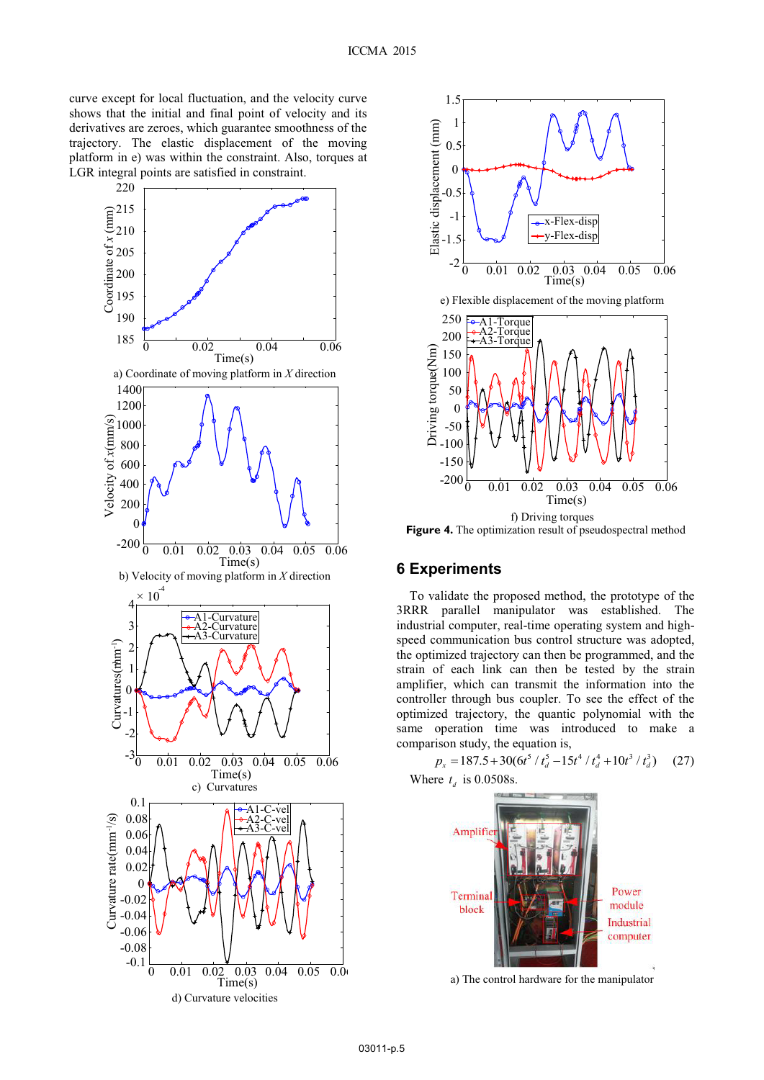curve except for local fluctuation, and the velocity curve shows that the initial and final point of velocity and its derivatives are zeroes, which guarantee smoothness of the trajectory. The elastic displacement of the moving platform in e) was within the constraint. Also, torques at LGR integral points are satisfied in constraint.





**Figure 4.** The optimization result of pseudospectral method

# **6 Experiments**

To validate the proposed method, the prototype of the 3RRR parallel manipulator was established. The industrial computer, real-time operating system and highspeed communication bus control structure was adopted, the optimized trajectory can then be programmed, and the strain of each link can then be tested by the strain amplifier, which can transmit the information into the controller through bus coupler. To see the effect of the optimized trajectory, the quantic polynomial with the same operation time was introduced to make a

comparison study, the equation is,<br>  $p_x = 187.5 + 30(6t^5 / t_d^5 - 15t^4 / t_d^4 + 10t^3 / t_d^3)$  (27) Where  $t_d$  is 0.0508s.



a) The control hardware for the manipulator